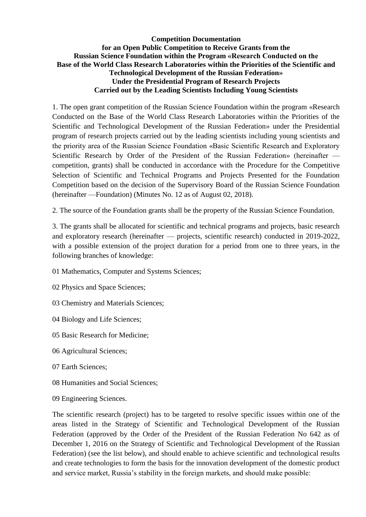## **Competition Documentation for an Open Public Competition to Receive Grants from the Russian Science Foundation within the Program «Research Conducted on the Base of the World Class Research Laboratories within the Priorities of the Scientific and Technological Development of the Russian Federation» Under the Presidential Program of Research Projects Carried out by the Leading Scientists Including Young Scientists**

1. The open grant competition of the Russian Science Foundation within the program «Research Conducted on the Base of the World Class Research Laboratories within the Priorities of the Scientific and Technological Development of the Russian Federation» under the Presidential program of research projects carried out by the leading scientists including young scientists and the priority area of the Russian Science Foundation «Basic Scientific Research and Exploratory Scientific Research by Order of the President of the Russian Federation» (hereinafter competition, grants) shall be conducted in accordance with the Procedure for the Competitive Selection of Scientific and Technical Programs and Projects Presented for the Foundation Competition based on the decision of the Supervisory Board of the Russian Science Foundation (hereinafter —Foundation) (Minutes No. 12 as of August 02, 2018).

2. The source of the Foundation grants shall be the property of the Russian Science Foundation.

3. The grants shall be allocated for scientific and technical programs and projects, basic research and exploratory research (hereinafter — projects, scientific research) conducted in 2019-2022, with a possible extension of the project duration for a period from one to three years, in the following branches of knowledge:

- 01 Mathematics, Computer and Systems Sciences;
- 02 Physics and Space Sciences;
- 03 Chemistry and Materials Sciences;
- 04 Biology and Life Sciences;
- 05 Basic Research for Medicine;
- 06 Agricultural Sciences;
- 07 Earth Sciences;
- 08 Humanities and Social Sciences;
- 09 Engineering Sciences.

The scientific research (project) has to be targeted to resolve specific issues within one of the areas listed in the Strategy of Scientific and Technological Development of the Russian Federation (approved by the Order of the President of the Russian Federation No 642 as of December 1, 2016 on the Strategy of Scientific and Technological Development of the Russian Federation) (see the list below), and should enable to achieve scientific and technological results and create technologies to form the basis for the innovation development of the domestic product and service market, Russia's stability in the foreign markets, and should make possible: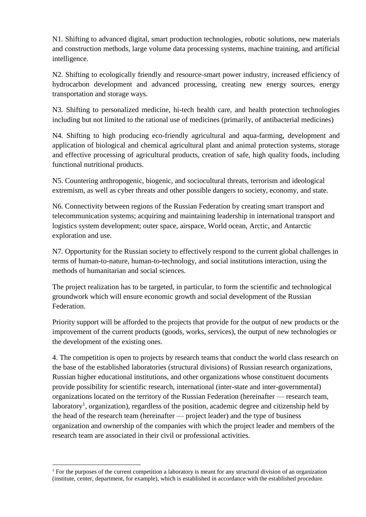N1. Shifting to advanced digital, smart production technologies, robotic solutions, new materials and construction methods, large volume data processing systems, machine training, and artificial intelligence.

N2. Shifting to ecologically friendly and resource-smart power industry, increased efficiency of hydrocarbon development and advanced processing, creating new energy sources, energy transportation and storage ways.

N3. Shifting to personalized medicine, hi-tech health care, and health protection technologies including but not limited to the rational use of medicines (primarily, of antibacterial medicines)

N4. Shifting to high producing eco-friendly agricultural and aqua-farming, development and application of biological and chemical agricultural plant and animal protection systems, storage and effective processing of agricultural products, creation of safe, high quality foods, including functional nutritional products.

N5. Countering anthropogenic, biogenic, and sociocultural threats, terrorism and ideological extremism, as well as cyber threats and other possible dangers to society, economy, and state.

N6. Connectivity between regions of the Russian Federation by creating smart transport and telecommunication systems; acquiring and maintaining leadership in international transport and logistics system development; outer space, airspace, World ocean, Arctic, and Antarctic exploration and use.

N7. Opportunity for the Russian society to effectively respond to the current global challenges in terms of human-to-nature, human-to-technology, and social institutions interaction, using the methods of humanitarian and social sciences.

The project realization has to be targeted, in particular, to form the scientific and technological groundwork which will ensure economic growth and social development of the Russian Federation.

Priority support will be afforded to the projects that provide for the output of new products or the improvement of the current products (goods, works, services), the output of new technologies or the development of the existing ones.

4. The competition is open to projects by research teams that conduct the world class research on the base of the established laboratories (structural divisions) of Russian research organizations, Russian higher educational institutions, and other organizations whose constituent documents provide possibility for scientific research, international (inter-state and inter-governmental) organizations located on the territory of the Russian Federation (hereinafter — research team, laboratory<sup>1</sup>, organization), regardless of the position, academic degree and citizenship held by the head of the research team (hereinafter — project leader) and the type of business organization and ownership of the companies with which the project leader and members of the research team are associated in their civil or professional activities.

**<sup>.</sup>** <sup>1</sup> For the purposes of the current competition a laboratory is meant for any structural division of an organization (institute, center, department, for example), which is established in accordance with the established procedure.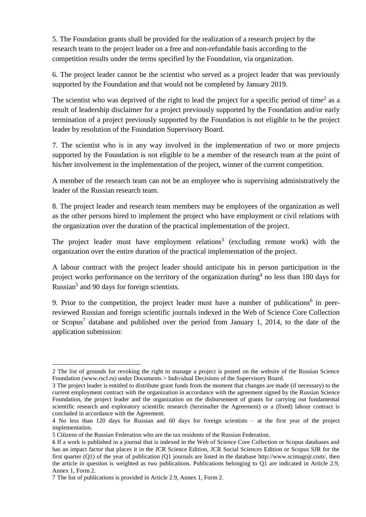5. The Foundation grants shall be provided for the realization of a research project by the research team to the project leader on a free and non-refundable basis according to the competition results under the terms specified by the Foundation, via organization.

6. The project leader cannot be the scientist who served as a project leader that was previously supported by the Foundation and that would not be completed by January 2019.

The scientist who was deprived of the right to lead the project for a specific period of time<sup>2</sup> as a result of leadership disclaimer for a project previously supported by the Foundation and/or early termination of a project previously supported by the Foundation is not eligible to be the project leader by resolution of the Foundation Supervisory Board.

7. The scientist who is in any way involved in the implementation of two or more projects supported by the Foundation is not eligible to be a member of the research team at the point of his/her involvement in the implementation of the project, winner of the current competition.

A member of the research team can not be an employee who is supervising administratively the leader of the Russian research team.

8. The project leader and research team members may be employees of the organization as well as the other persons hired to implement the project who have employment or civil relations with the organization over the duration of the practical implementation of the project.

The project leader must have employment relations<sup>3</sup> (excluding remote work) with the organization over the entire duration of the practical implementation of the project.

A labour contract with the project leader should anticipate his in person participation in the project works performance on the territory of the organization during<sup>4</sup> no less than 180 days for Russian<sup>5</sup> and 90 days for foreign scientists.

9. Prior to the competition, the project leader must have a number of publications<sup>6</sup> in peerreviewed Russian and foreign scientific journals indexed in the Web of Science Core Collection or Scopus<sup>7</sup> database and published over the period from January 1, 2014, to the date of the application submission:

**<sup>.</sup>** 2 The list of grounds for revoking the right to manage a project is posted on the website of the Russian Science Foundation [\(www.rscf.ru\)](http://www.rscf.ru/) under Documents > Individual Decisions of the Supervisory Board.

<sup>3</sup> The project leader is entitled to distribute grant funds from the moment that changes are made (if necessary) to the current employment contract with the organization in accordance with the agreement signed by the Russian Science Foundation, the project leader and the organization on the disbursement of grants for carrying out fundamental scientific research and exploratory scientific research (hereinafter the Agreement) or a (fixed) labour contract is concluded in accordance with the Agreement.

<sup>4</sup> No less than 120 days for Russian and 60 days for foreign scientists – at the first year of the project implementation.

<sup>5</sup> Citizens of the Russian Federation who are the tax residents of the Russian Federation.

<sup>6</sup> If a work is published in a journal that is indexed in the Web of Science Core Collection or Scopus databases and has an impact factor that places it in the JCR Science Edition, JCR Social Sciences Edition or Scopus SJR for the first quarter (Q1) of the year of publication (Q1 journals are listed in the database [http://www.scimagojr.com/,](http://www.scimagojr.com/) then the article in question is weighted as two publications. Publications belonging to Q1 are indicated in Article 2.9, Annex 1, Form 2.

<sup>7</sup> The list of publications is provided in Article 2.9, Annex 1, Form 2.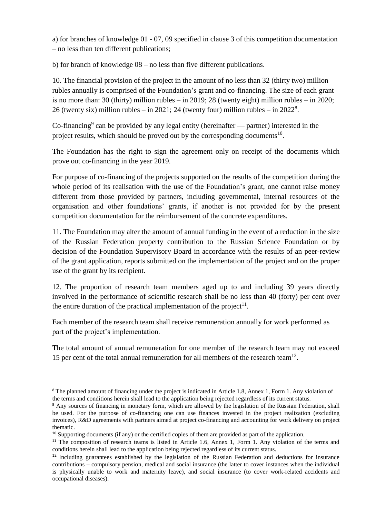a) for branches of knowledge 01 - 07, 09 specified in clause 3 of this competition documentation – no less than ten different publications;

b) for branch of knowledge 08 – no less than five different publications.

10. The financial provision of the project in the amount of no less than 32 (thirty two) million rubles annually is comprised of the Foundation's grant and co-financing. The size of each grant is no more than: 30 (thirty) million rubles – in 2019; 28 (twenty eight) million rubles – in 2020; 26 (twenty six) million rubles  $-$  in 2021; 24 (twenty four) million rubles  $-$  in 2022<sup>8</sup>.

Co-financing<sup>9</sup> can be provided by any legal entity (hereinafter  $-$  partner) interested in the project results, which should be proved out by the corresponding documents $10$ .

The Foundation has the right to sign the agreement only on receipt of the documents which prove out co-financing in the year 2019.

For purpose of co-financing of the projects supported on the results of the competition during the whole period of its realisation with the use of the Foundation's grant, one cannot raise money different from those provided by partners, including governmental, internal resources of the organisation and other foundations' grants, if another is not provided for by the present competition documentation for the reimbursement of the concrete expenditures.

11. The Foundation may alter the amount of annual funding in the event of a reduction in the size of the Russian Federation property contribution to the Russian Science Foundation or by decision of the Foundation Supervisory Board in accordance with the results of an peer-review of the grant application, reports submitted on the implementation of the project and on the proper use of the grant by its recipient.

12. The proportion of research team members aged up to and including 39 years directly involved in the performance of scientific research shall be no less than 40 (forty) per cent over the entire duration of the practical implementation of the project<sup>11</sup>.

Each member of the research team shall receive remuneration annually for work performed as part of the project's implementation.

The total amount of annual remuneration for one member of the research team may not exceed 15 per cent of the total annual remuneration for all members of the research team<sup>12</sup>.

<sup>&</sup>lt;sup>8</sup> The planned amount of financing under the project is indicated in Article 1.8, Annex 1, Form 1. Any violation of the terms and conditions herein shall lead to the application being rejected regardless of its current status.

<sup>9</sup> Any sources of financing in monetary form, which are allowed by the legislation of the Russian Federation, shall be used. For the purpose of co-financing one can use finances invested in the project realization (excluding invoices), R&D agreements with partners aimed at project co-financing and accounting for work delivery on project thematic.

 $10$  Supporting documents (if any) or the certified copies of them are provided as part of the application.

<sup>&</sup>lt;sup>11</sup> The composition of research teams is listed in Article 1.6, Annex 1, Form 1. Any violation of the terms and conditions herein shall lead to the application being rejected regardless of its current status.

<sup>&</sup>lt;sup>12</sup> Including guarantees established by the legislation of the Russian Federation and deductions for insurance contributions – compulsory pension, medical and social insurance (the latter to cover instances when the individual is physically unable to work and maternity leave), and social insurance (to cover work-related accidents and occupational diseases).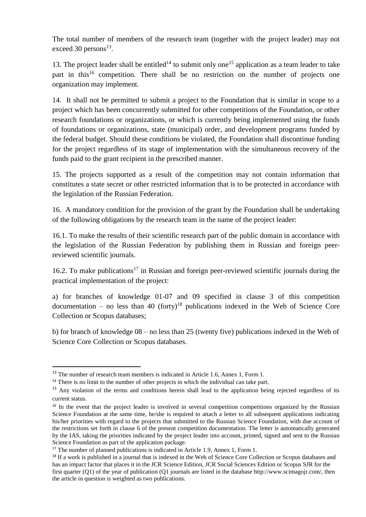The total number of members of the research team (together with the project leader) may not exceed 30 persons<sup>13</sup>.

13. The project leader shall be entitled<sup>14</sup> to submit only one<sup>15</sup> application as a team leader to take part in this<sup>16</sup> competition. There shall be no restriction on the number of projects one organization may implement.

14. It shall not be permitted to submit a project to the Foundation that is similar in scope to a project which has been concurrently submitted for other competitions of the Foundation, or other research foundations or organizations, or which is currently being implemented using the funds of foundations or organizations, state (municipal) order, and development programs funded by the federal budget. Should these conditions be violated, the Foundation shall discontinue funding for the project regardless of its stage of implementation with the simultaneous recovery of the funds paid to the grant recipient in the prescribed manner.

15. The projects supported as a result of the competition may not contain information that constitutes a state secret or other restricted information that is to be protected in accordance with the legislation of the Russian Federation.

16. A mandatory condition for the provision of the grant by the Foundation shall be undertaking of the following obligations by the research team in the name of the project leader:

16.1. To make the results of their scientific research part of the public domain in accordance with the legislation of the Russian Federation by publishing them in Russian and foreign peerreviewed scientific journals.

16.2. To make publications<sup>17</sup> in Russian and foreign peer-reviewed scientific journals during the practical implementation of the project:

a) for branches of knowledge 01-07 and 09 specified in clause 3 of this competition documentation – no less than 40 (forty)<sup>18</sup> publications indexed in the Web of Science Core Collection or Scopus databases;

b) for branch of knowledge 08 – no less than 25 (twenty five) publications indexed in the Web of Science Core Collection or Scopus databases.

1

<sup>&</sup>lt;sup>13</sup> The number of research team members is indicated in Article 1.6, Annex 1, Form 1.

<sup>&</sup>lt;sup>14</sup> There is no limit to the number of other projects in which the individual can take part.

<sup>&</sup>lt;sup>15</sup> Any violation of the terms and conditions herein shall lead to the application being rejected regardless of its current status.

<sup>&</sup>lt;sup>16</sup> In the event that the project leader is involved in several competition competitions organized by the Russian Science Foundation at the same time, he/she is required to attach a letter to all subsequent applications indicating his/her priorities with regard to the projects that submitted to the Russian Science Foundation, with due account of the restrictions set forth in clause 6 of the present competition documentation. The letter is automatically generated by the IAS, taking the priorities indicated by the project leader into account, printed, signed and sent to the Russian Science Foundation as part of the application package.

<sup>&</sup>lt;sup>17</sup> The number of planned publications is indicated in Article 1.9, Annex 1, Form 1.

<sup>&</sup>lt;sup>18</sup> If a work is published in a journal that is indexed in the Web of Science Core Collection or Scopus databases and has an impact factor that places it in the JCR Science Edition, JCR Social Sciences Edition or Scopus SJR for the first quarter (Q1) of the year of publication (Q1 journals are listed in the database http://www.scimagojr.com/, then the article in question is weighted as two publications.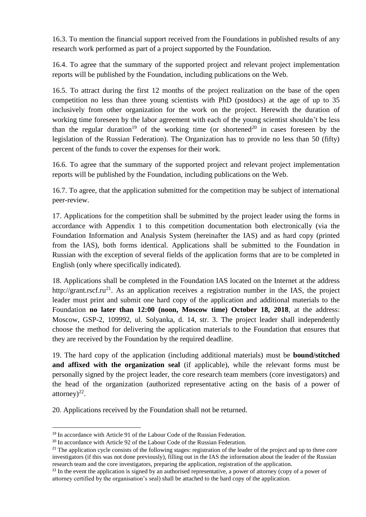16.3. To mention the financial support received from the Foundations in published results of any research work performed as part of a project supported by the Foundation.

16.4. To agree that the summary of the supported project and relevant project implementation reports will be published by the Foundation, including publications on the Web.

16.5. To attract during the first 12 months of the project realization on the base of the open competition no less than three young scientists with PhD (postdocs) at the age of up to 35 inclusively from other organization for the work on the project. Herewith the duration of working time foreseen by the labor agreement with each of the young scientist shouldn't be less than the regular duration<sup>19</sup> of the working time (or shortened<sup>20</sup> in cases foreseen by the legislation of the Russian Federation). The Organization has to provide no less than 50 (fifty) percent of the funds to cover the expenses for their work.

16.6. To agree that the summary of the supported project and relevant project implementation reports will be published by the Foundation, including publications on the Web.

16.7. To agree, that the application submitted for the competition may be subject of international peer-review.

17. Applications for the competition shall be submitted by the project leader using the forms in accordance with Appendix 1 to this competition documentation both electronically (via the Foundation Information and Analysis System (hereinafter the IAS) and as hard copy (printed from the IAS), both forms identical. Applications shall be submitted to the Foundation in Russian with the exception of several fields of the application forms that are to be completed in English (only where specifically indicated).

18. Applications shall be completed in the Foundation IAS located on the Internet at the address http://grant.rscf.ru<sup>21</sup>. As an application receives a registration number in the IAS, the project leader must print and submit one hard copy of the application and additional materials to the Foundation **no later than 12:00 (noon, Moscow time) October 18, 2018**, at the address: Moscow, GSP-2, 109992, ul. Solyanka, d. 14, str. 3. The project leader shall independently choose the method for delivering the application materials to the Foundation that ensures that they are received by the Foundation by the required deadline.

19. The hard copy of the application (including additional materials) must be **bound/stitched and affixed with the organization seal** (if applicable), while the relevant forms must be personally signed by the project leader, the core research team members (core investigators) and the head of the organization (authorized representative acting on the basis of a power of attorney) $^{22}$ .

20. Applications received by the Foundation shall not be returned.

<sup>&</sup>lt;sup>19</sup> In accordance with Article 91 of the Labour Code of the Russian Federation.

<sup>&</sup>lt;sup>20</sup> In accordance with Article 92 of the Labour Code of the Russian Federation.

<sup>&</sup>lt;sup>21</sup> The application cycle consists of the following stages: registration of the leader of the project and up to three core investigators (if this was not done previously), filling out in the IAS the information about the leader of the Russian research team and the core investigators, preparing the application, registration of the application.

 $^{22}$  In the event the application is signed by an authorised representative, a power of attorney (copy of a power of attorney certified by the organisation's seal) shall be attached to the hard copy of the application.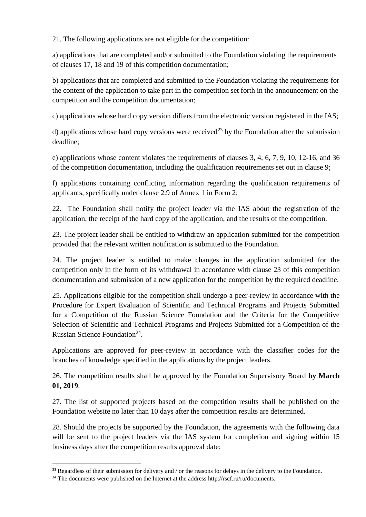21. The following applications are not eligible for the competition:

a) applications that are completed and/or submitted to the Foundation violating the requirements of clauses 17, 18 and 19 of this competition documentation;

b) applications that are completed and submitted to the Foundation violating the requirements for the content of the application to take part in the competition set forth in the announcement on the competition and the competition documentation;

c) applications whose hard copy version differs from the electronic version registered in the IAS;

d) applications whose hard copy versions were received<sup>23</sup> by the Foundation after the submission deadline;

e) applications whose content violates the requirements of clauses 3, 4, 6, 7, 9, 10, 12-16, and 36 of the competition documentation, including the qualification requirements set out in clause 9;

f) applications containing conflicting information regarding the qualification requirements of applicants, specifically under clause 2.9 of Annex 1 in Form 2;

22. The Foundation shall notify the project leader via the IAS about the registration of the application, the receipt of the hard copy of the application, and the results of the competition.

23. The project leader shall be entitled to withdraw an application submitted for the competition provided that the relevant written notification is submitted to the Foundation.

24. The project leader is entitled to make changes in the application submitted for the competition only in the form of its withdrawal in accordance with clause 23 of this competition documentation and submission of a new application for the competition by the required deadline.

25. Applications eligible for the competition shall undergo a peer-review in accordance with the Procedure for Expert Evaluation of Scientific and Technical Programs and Projects Submitted for a Competition of the Russian Science Foundation and the Criteria for the Competitive Selection of Scientific and Technical Programs and Projects Submitted for a Competition of the Russian Science Foundation<sup>24</sup>.

Applications are approved for peer-review in accordance with the classifier codes for the branches of knowledge specified in the applications by the project leaders.

26. The competition results shall be approved by the Foundation Supervisory Board **by March 01, 2019**.

27. The list of supported projects based on the competition results shall be published on the Foundation website no later than 10 days after the competition results are determined.

28. Should the projects be supported by the Foundation, the agreements with the following data will be sent to the project leaders via the IAS system for completion and signing within 15 business days after the competition results approval date:

<sup>&</sup>lt;sup>23</sup> Regardless of their submission for delivery and / or the reasons for delays in the delivery to the Foundation.

<sup>&</sup>lt;sup>24</sup> The documents were published on the Internet at the address http://rscf.ru/ru/documents.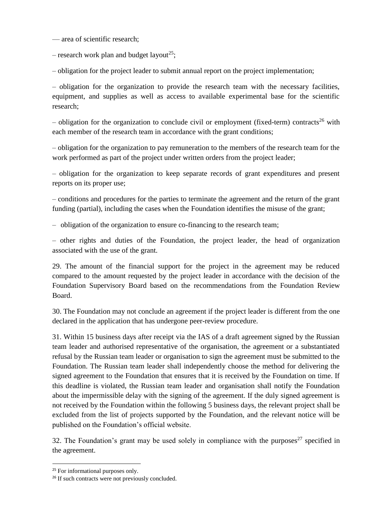— area of scientific research;

– research work plan and budget layout<sup>25</sup>;

– obligation for the project leader to submit annual report on the project implementation;

– obligation for the organization to provide the research team with the necessary facilities, equipment, and supplies as well as access to available experimental base for the scientific research;

– obligation for the organization to conclude civil or employment (fixed-term) contracts<sup>26</sup> with each member of the research team in accordance with the grant conditions;

– obligation for the organization to pay remuneration to the members of the research team for the work performed as part of the project under written orders from the project leader;

– obligation for the organization to keep separate records of grant expenditures and present reports on its proper use;

– conditions and procedures for the parties to terminate the agreement and the return of the grant funding (partial), including the cases when the Foundation identifies the misuse of the grant;

– obligation of the organization to ensure co-financing to the research team;

– other rights and duties of the Foundation, the project leader, the head of organization associated with the use of the grant.

29. The amount of the financial support for the project in the agreement may be reduced compared to the amount requested by the project leader in accordance with the decision of the Foundation Supervisory Board based on the recommendations from the Foundation Review Board.

30. The Foundation may not conclude an agreement if the project leader is different from the one declared in the application that has undergone peer-review procedure.

31. Within 15 business days after receipt via the IAS of a draft agreement signed by the Russian team leader and authorised representative of the organisation, the agreement or a substantiated refusal by the Russian team leader or organisation to sign the agreement must be submitted to the Foundation. The Russian team leader shall independently choose the method for delivering the signed agreement to the Foundation that ensures that it is received by the Foundation on time. If this deadline is violated, the Russian team leader and organisation shall notify the Foundation about the impermissible delay with the signing of the agreement. If the duly signed agreement is not received by the Foundation within the following 5 business days, the relevant project shall be excluded from the list of projects supported by the Foundation, and the relevant notice will be published on the Foundation's official website.

32. The Foundation's grant may be used solely in compliance with the purposes<sup>27</sup> specified in the agreement.

<sup>&</sup>lt;sup>25</sup> For informational purposes only.

<sup>&</sup>lt;sup>26</sup> If such contracts were not previously concluded.